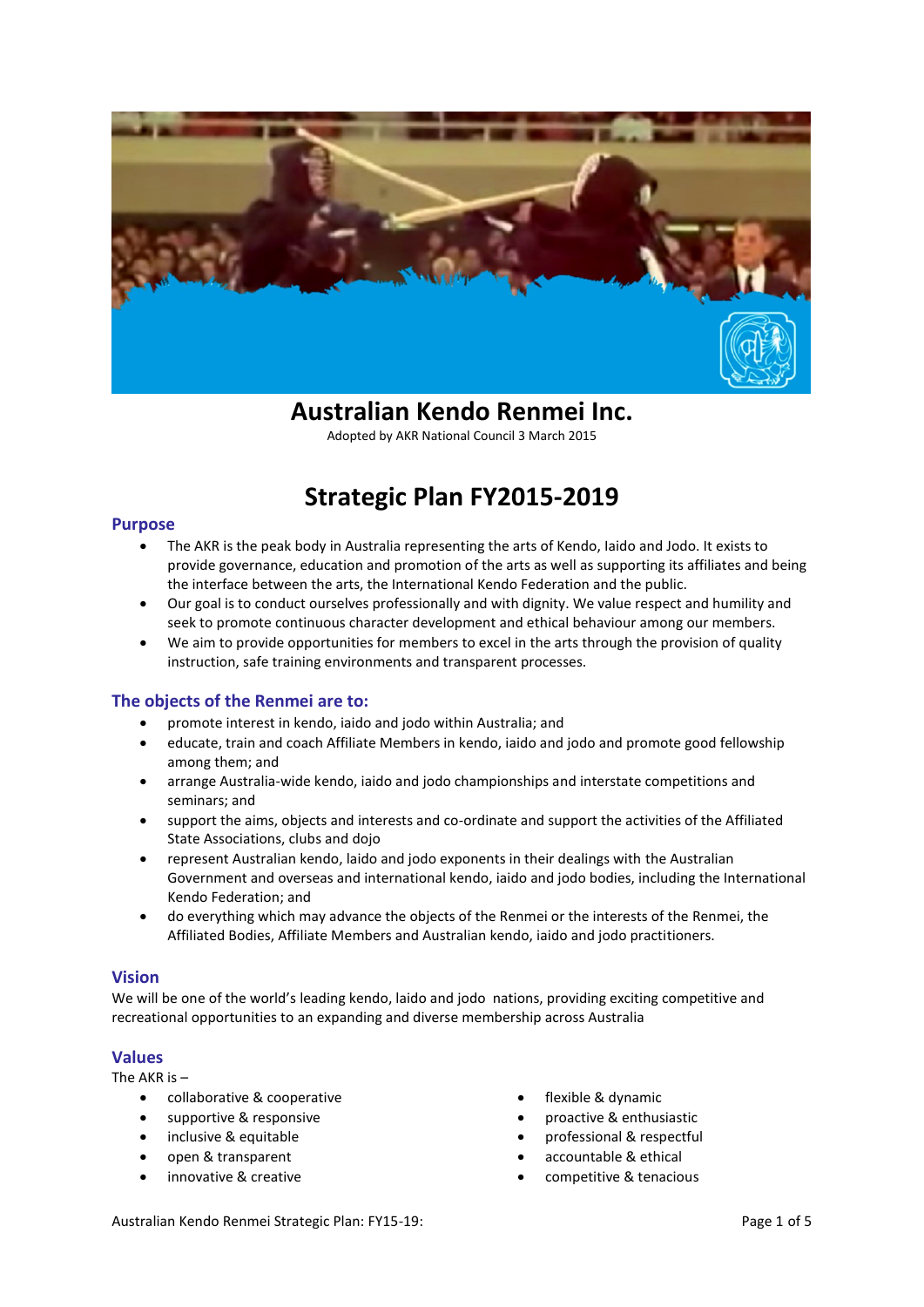

# **Australian Kendo Renmei Inc.**

Adopted by AKR National Council 3 March 2015

# **Strategic Plan FY2015-2019**

## **Purpose**

- The AKR is the peak body in Australia representing the arts of Kendo, Iaido and Jodo. It exists to provide governance, education and promotion of the arts as well as supporting its affiliates and being the interface between the arts, the International Kendo Federation and the public.
- Our goal is to conduct ourselves professionally and with dignity. We value respect and humility and seek to promote continuous character development and ethical behaviour among our members.
- We aim to provide opportunities for members to excel in the arts through the provision of quality instruction, safe training environments and transparent processes.

# **The objects of the Renmei are to:**

- promote interest in kendo, iaido and jodo within Australia; and
- educate, train and coach Affiliate Members in kendo, iaido and jodo and promote good fellowship among them; and
- arrange Australia-wide kendo, iaido and jodo championships and interstate competitions and seminars; and
- support the aims, objects and interests and co-ordinate and support the activities of the Affiliated State Associations, clubs and dojo
- represent Australian kendo, laido and jodo exponents in their dealings with the Australian Government and overseas and international kendo, iaido and jodo bodies, including the International Kendo Federation; and
- do everything which may advance the objects of the Renmei or the interests of the Renmei, the Affiliated Bodies, Affiliate Members and Australian kendo, iaido and jodo practitioners.

# **Vision**

We will be one of the world's leading kendo, laido and jodo nations, providing exciting competitive and recreational opportunities to an expanding and diverse membership across Australia

# **Values**

The AKR is –

- collaborative & cooperative
- supportive & responsive
- inclusive & equitable
- open & transparent
- innovative & creative
- flexible & dynamic
- proactive & enthusiastic
- professional & respectful
- accountable & ethical
- competitive & tenacious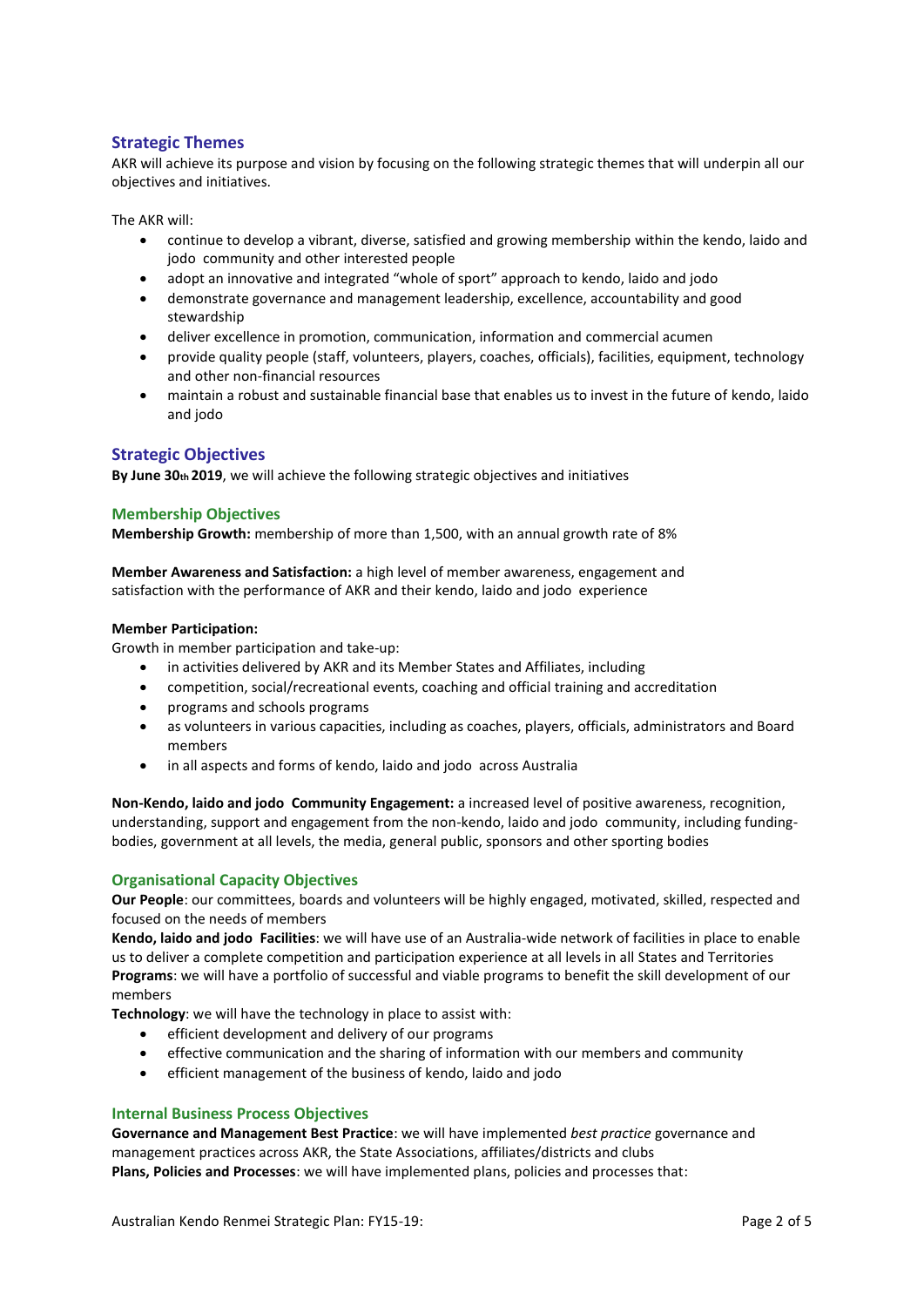# **Strategic Themes**

AKR will achieve its purpose and vision by focusing on the following strategic themes that will underpin all our objectives and initiatives.

The AKR will:

- continue to develop a vibrant, diverse, satisfied and growing membership within the kendo, laido and jodo community and other interested people
- adopt an innovative and integrated "whole of sport" approach to kendo, laido and jodo
- demonstrate governance and management leadership, excellence, accountability and good stewardship
- deliver excellence in promotion, communication, information and commercial acumen
- provide quality people (staff, volunteers, players, coaches, officials), facilities, equipment, technology and other non-financial resources
- maintain a robust and sustainable financial base that enables us to invest in the future of kendo, laido and jodo

## **Strategic Objectives**

**By June 30th 2019**, we will achieve the following strategic objectives and initiatives

#### **Membership Objectives**

**Membership Growth:** membership of more than 1,500, with an annual growth rate of 8%

**Member Awareness and Satisfaction:** a high level of member awareness, engagement and satisfaction with the performance of AKR and their kendo, laido and jodo experience

#### **Member Participation:**

Growth in member participation and take-up:

- in activities delivered by AKR and its Member States and Affiliates, including
- competition, social/recreational events, coaching and official training and accreditation
- programs and schools programs
- as volunteers in various capacities, including as coaches, players, officials, administrators and Board members
- in all aspects and forms of kendo, laido and jodo across Australia

**Non-Kendo, laido and jodo Community Engagement:** a increased level of positive awareness, recognition, understanding, support and engagement from the non-kendo, laido and jodo community, including fundingbodies, government at all levels, the media, general public, sponsors and other sporting bodies

### **Organisational Capacity Objectives**

**Our People**: our committees, boards and volunteers will be highly engaged, motivated, skilled, respected and focused on the needs of members

**Kendo, laido and jodo Facilities**: we will have use of an Australia-wide network of facilities in place to enable us to deliver a complete competition and participation experience at all levels in all States and Territories **Programs**: we will have a portfolio of successful and viable programs to benefit the skill development of our members

**Technology**: we will have the technology in place to assist with:

- efficient development and delivery of our programs
- effective communication and the sharing of information with our members and community
- efficient management of the business of kendo, laido and jodo

#### **Internal Business Process Objectives**

**Governance and Management Best Practice**: we will have implemented *best practice* governance and management practices across AKR, the State Associations, affiliates/districts and clubs **Plans, Policies and Processes**: we will have implemented plans, policies and processes that: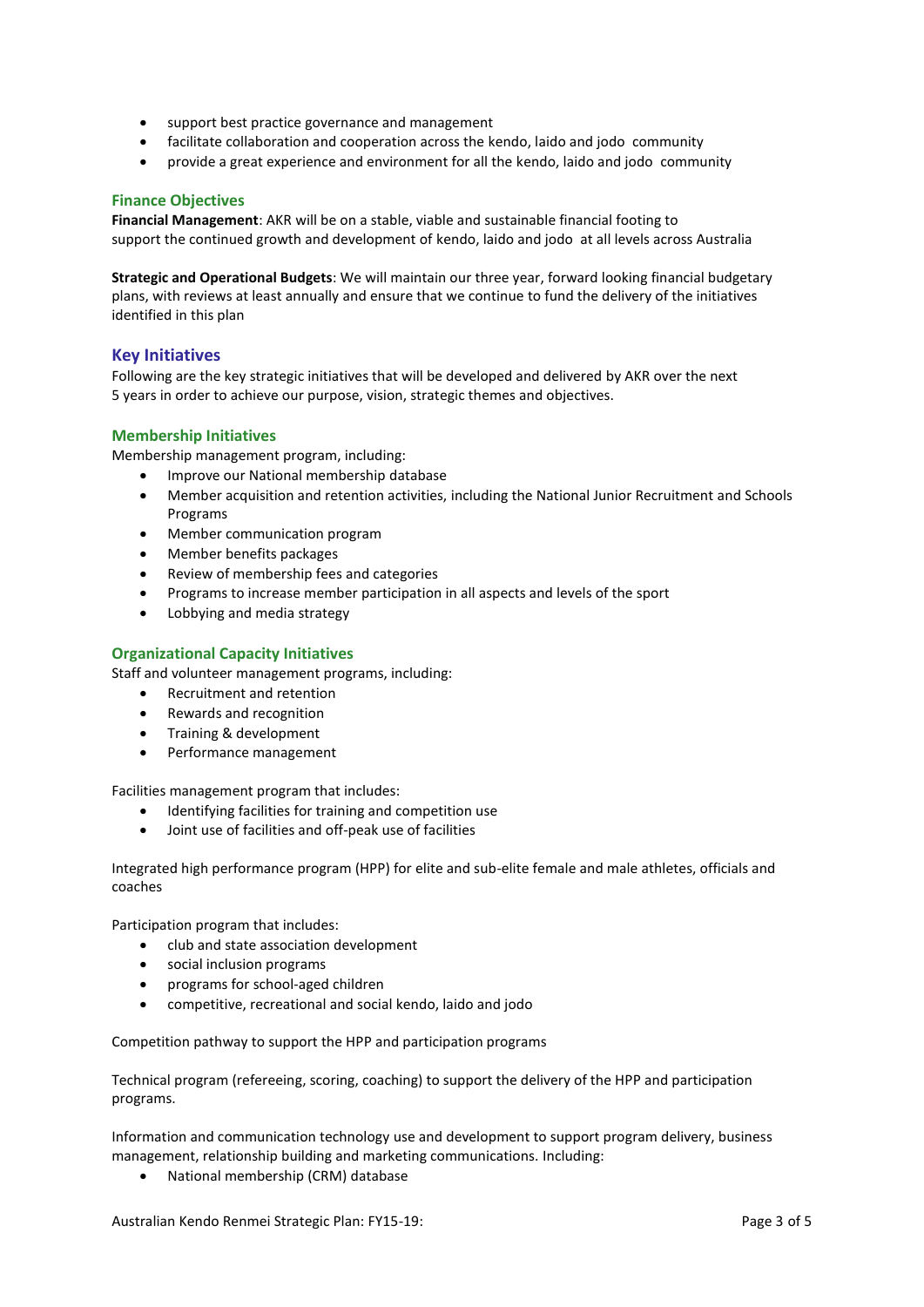- support best practice governance and management
- facilitate collaboration and cooperation across the kendo, laido and jodo community
- provide a great experience and environment for all the kendo, laido and jodo community

# **Finance Objectives**

**Financial Management**: AKR will be on a stable, viable and sustainable financial footing to support the continued growth and development of kendo, laido and jodo at all levels across Australia

**Strategic and Operational Budgets**: We will maintain our three year, forward looking financial budgetary plans, with reviews at least annually and ensure that we continue to fund the delivery of the initiatives identified in this plan

# **Key Initiatives**

Following are the key strategic initiatives that will be developed and delivered by AKR over the next 5 years in order to achieve our purpose, vision, strategic themes and objectives.

## **Membership Initiatives**

Membership management program, including:

- Improve our National membership database
- Member acquisition and retention activities, including the National Junior Recruitment and Schools Programs
- Member communication program
- Member benefits packages
- Review of membership fees and categories
- Programs to increase member participation in all aspects and levels of the sport
- Lobbying and media strategy

## **Organizational Capacity Initiatives**

Staff and volunteer management programs, including:

- Recruitment and retention
- Rewards and recognition
- Training & development
- Performance management

Facilities management program that includes:

- Identifying facilities for training and competition use
- Joint use of facilities and off-peak use of facilities

Integrated high performance program (HPP) for elite and sub-elite female and male athletes, officials and coaches

Participation program that includes:

- club and state association development
- social inclusion programs
- programs for school-aged children
- competitive, recreational and social kendo, laido and jodo

Competition pathway to support the HPP and participation programs

Technical program (refereeing, scoring, coaching) to support the delivery of the HPP and participation programs.

Information and communication technology use and development to support program delivery, business management, relationship building and marketing communications. Including:

National membership (CRM) database